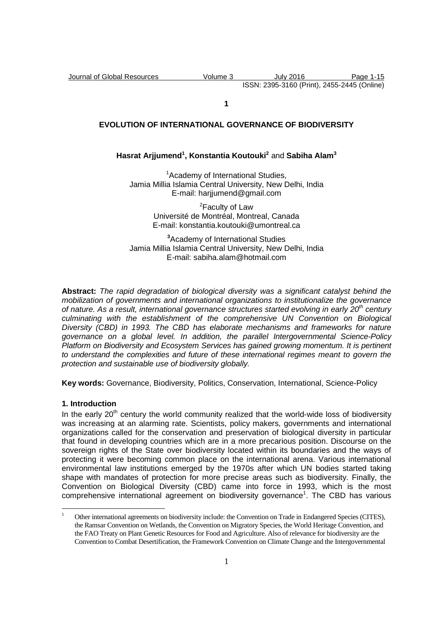**1** 

# **EVOLUTION OF INTERNATIONAL GOVERNANCE OF BIODIVERSITY**

# **Hasrat Arjjumend<sup>1</sup> , Konstantia Koutouki<sup>2</sup>** and **Sabiha Alam<sup>3</sup>**

<sup>1</sup>Academy of International Studies. Jamia Millia Islamia Central University, New Delhi, India E-mail: harijumend@gmail.com

> <sup>2</sup>Faculty of Law Université de Montréal, Montreal, Canada E-mail: konstantia.koutouki@umontreal.ca

**<sup>3</sup>**Academy of International Studies Jamia Millia Islamia Central University, New Delhi, India E-mail: sabiha.alam@hotmail.com

**Abstract:** The rapid degradation of biological diversity was a significant catalyst behind the mobilization of governments and international organizations to institutionalize the governance of nature. As a result, international governance structures started evolving in early  $20<sup>th</sup>$  century culminating with the establishment of the comprehensive UN Convention on Biological Diversity (CBD) in 1993. The CBD has elaborate mechanisms and frameworks for nature governance on a global level. In addition, the parallel Intergovernmental Science-Policy Platform on Biodiversity and Ecosystem Services has gained growing momentum. It is pertinent to understand the complexities and future of these international regimes meant to govern the protection and sustainable use of biodiversity globally.

**Key words:** Governance, Biodiversity, Politics, Conservation, International, Science-Policy

#### **1. Introduction**

 $\overline{a}$ 

In the early  $20<sup>th</sup>$  century the world community realized that the world-wide loss of biodiversity was increasing at an alarming rate. Scientists, policy makers, governments and international organizations called for the conservation and preservation of biological diversity in particular that found in developing countries which are in a more precarious position. Discourse on the sovereign rights of the State over biodiversity located within its boundaries and the ways of protecting it were becoming common place on the international arena. Various international environmental law institutions emerged by the 1970s after which UN bodies started taking shape with mandates of protection for more precise areas such as biodiversity. Finally, the Convention on Biological Diversity (CBD) came into force in 1993, which is the most comprehensive international agreement on biodiversity governance<sup>1</sup>. The CBD has various

<sup>1</sup> Other international agreements on biodiversity include: the Convention on Trade in Endangered Species (CITES), the Ramsar Convention on Wetlands, the Convention on Migratory Species, the World Heritage Convention, and the FAO Treaty on Plant Genetic Resources for Food and Agriculture. Also of relevance for biodiversity are the Convention to Combat Desertification, the Framework Convention on Climate Change and the Intergovernmental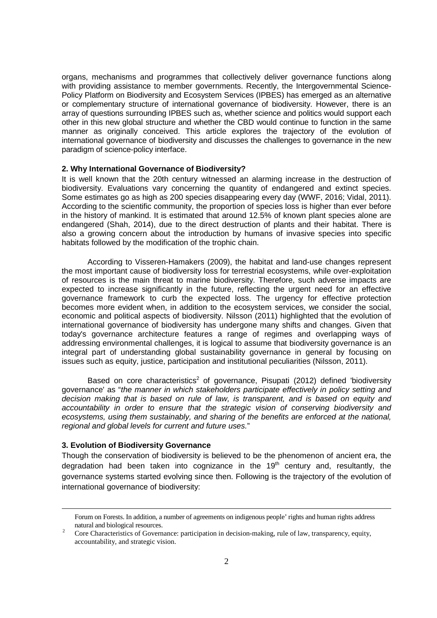organs, mechanisms and programmes that collectively deliver governance functions along with providing assistance to member governments. Recently, the Intergovernmental Science-Policy Platform on Biodiversity and Ecosystem Services (IPBES) has emerged as an alternative or complementary structure of international governance of biodiversity. However, there is an array of questions surrounding IPBES such as, whether science and politics would support each other in this new global structure and whether the CBD would continue to function in the same manner as originally conceived. This article explores the trajectory of the evolution of international governance of biodiversity and discusses the challenges to governance in the new paradigm of science-policy interface.

#### **2. Why International Governance of Biodiversity?**

It is well known that the 20th century witnessed an alarming increase in the destruction of biodiversity. Evaluations vary concerning the quantity of endangered and extinct species. Some estimates go as high as 200 species disappearing every day (WWF, 2016; Vidal, 2011). According to the scientific community, the proportion of species loss is higher than ever before in the history of mankind. It is estimated that around 12.5% of known plant species alone are endangered (Shah, 2014), due to the direct destruction of plants and their habitat. There is also a growing concern about the introduction by humans of invasive species into specific habitats followed by the modification of the trophic chain.

 According to Visseren-Hamakers (2009), the habitat and land-use changes represent the most important cause of biodiversity loss for terrestrial ecosystems, while over-exploitation of resources is the main threat to marine biodiversity. Therefore, such adverse impacts are expected to increase significantly in the future, reflecting the urgent need for an effective governance framework to curb the expected loss. The urgency for effective protection becomes more evident when, in addition to the ecosystem services, we consider the social, economic and political aspects of biodiversity. Nilsson (2011) highlighted that the evolution of international governance of biodiversity has undergone many shifts and changes. Given that today's governance architecture features a range of regimes and overlapping ways of addressing environmental challenges, it is logical to assume that biodiversity governance is an integral part of understanding global sustainability governance in general by focusing on issues such as equity, justice, participation and institutional peculiarities (Nilsson, 2011).

Based on core characteristics<sup>2</sup> of governance, Pisupati (2012) defined 'biodiversity governance' as "the manner in which stakeholders participate effectively in policy setting and decision making that is based on rule of law, is transparent, and is based on equity and accountability in order to ensure that the strategic vision of conserving biodiversity and ecosystems, using them sustainably, and sharing of the benefits are enforced at the national, regional and global levels for current and future uses."

# **3. Evolution of Biodiversity Governance**

 $\overline{a}$ 

Though the conservation of biodiversity is believed to be the phenomenon of ancient era, the degradation had been taken into cognizance in the  $19<sup>th</sup>$  century and, resultantly, the governance systems started evolving since then. Following is the trajectory of the evolution of international governance of biodiversity:

Forum on Forests. In addition, a number of agreements on indigenous people' rights and human rights address natural and biological resources.

 $\gamma$  Core Characteristics of Governance: participation in decision-making, rule of law, transparency, equity, accountability, and strategic vision.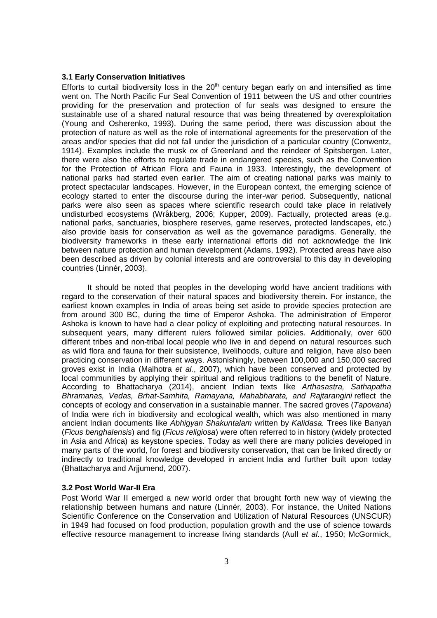### **3.1 Early Conservation Initiatives**

Efforts to curtail biodiversity loss in the  $20<sup>th</sup>$  century began early on and intensified as time went on. The North Pacific Fur Seal Convention of 1911 between the US and other countries providing for the preservation and protection of fur seals was designed to ensure the sustainable use of a shared natural resource that was being threatened by overexploitation (Young and Osherenko, 1993). During the same period, there was discussion about the protection of nature as well as the role of international agreements for the preservation of the areas and/or species that did not fall under the jurisdiction of a particular country (Conwentz, 1914). Examples include the musk ox of Greenland and the reindeer of Spitsbergen. Later, there were also the efforts to regulate trade in endangered species, such as the Convention for the Protection of African Flora and Fauna in 1933. Interestingly, the development of national parks had started even earlier. The aim of creating national parks was mainly to protect spectacular landscapes. However, in the European context, the emerging science of ecology started to enter the discourse during the inter-war period. Subsequently, national parks were also seen as spaces where scientific research could take place in relatively undisturbed ecosystems (Wråkberg, 2006; Kupper, 2009). Factually, protected areas (e.g. national parks, sanctuaries, biosphere reserves, game reserves, protected landscapes, etc.) also provide basis for conservation as well as the governance paradigms. Generally, the biodiversity frameworks in these early international efforts did not acknowledge the link between nature protection and human development (Adams, 1992). Protected areas have also been described as driven by colonial interests and are controversial to this day in developing countries (Linnér, 2003).

 It should be noted that peoples in the developing world have ancient traditions with regard to the conservation of their natural spaces and biodiversity therein. For instance, the earliest known examples in India of areas being set aside to provide species protection are from around 300 BC, during the time of Emperor Ashoka. The administration of Emperor Ashoka is known to have had a clear policy of exploiting and protecting natural resources. In subsequent years, many different rulers followed similar policies. Additionally, over 600 different tribes and non-tribal local people who live in and depend on natural resources such as wild flora and fauna for their subsistence, livelihoods, culture and religion, have also been practicing conservation in different ways. Astonishingly, between 100,000 and 150,000 sacred groves exist in India (Malhotra et al., 2007), which have been conserved and protected by local communities by applying their spiritual and religious traditions to the benefit of Nature. According to Bhattacharya (2014), ancient Indian texts like Arthasastra, Sathapatha Bhramanas, Vedas, Brhat-Samhita, Ramayana, Mahabharata, and Rajtarangini reflect the concepts of ecology and conservation in a sustainable manner. The sacred groves (Tapovana) of India were rich in biodiversity and ecological wealth, which was also mentioned in many ancient Indian documents like Abhigyan Shakuntalam written by Kalidasa. Trees like Banyan (Ficus benghalensis) and fig (Ficus religiosa) were often referred to in history (widely protected in Asia and Africa) as keystone species. Today as well there are many policies developed in many parts of the world, for forest and biodiversity conservation, that can be linked directly or indirectly to traditional knowledge developed in ancient India and further built upon today (Bhattacharya and Arjjumend, 2007).

### **3.2 Post World War-II Era**

Post World War II emerged a new world order that brought forth new way of viewing the relationship between humans and nature (Linnér, 2003). For instance, the United Nations Scientific Conference on the Conservation and Utilization of Natural Resources (UNSCUR) in 1949 had focused on food production, population growth and the use of science towards effective resource management to increase living standards (Aull et al., 1950; McGormick,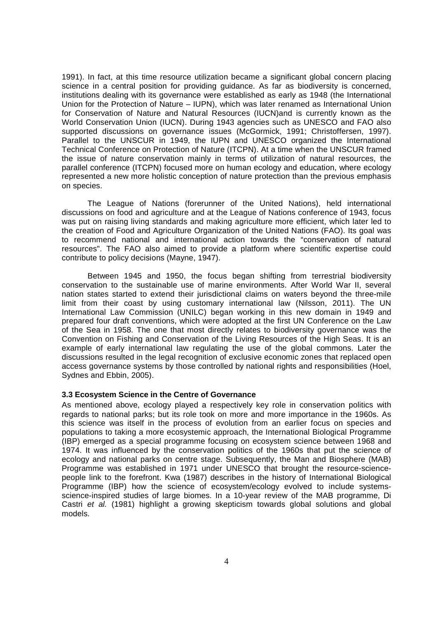1991). In fact, at this time resource utilization became a significant global concern placing science in a central position for providing guidance. As far as biodiversity is concerned, institutions dealing with its governance were established as early as 1948 (the International Union for the Protection of Nature – IUPN), which was later renamed as International Union for Conservation of Nature and Natural Resources (IUCN)and is currently known as the World Conservation Union (IUCN). During 1943 agencies such as UNESCO and FAO also supported discussions on governance issues (McGormick, 1991; Christoffersen, 1997). Parallel to the UNSCUR in 1949, the IUPN and UNESCO organized the International Technical Conference on Protection of Nature (ITCPN). At a time when the UNSCUR framed the issue of nature conservation mainly in terms of utilization of natural resources, the parallel conference (ITCPN) focused more on human ecology and education, where ecology represented a new more holistic conception of nature protection than the previous emphasis on species.

The League of Nations (forerunner of the United Nations), held international discussions on food and agriculture and at the League of Nations conference of 1943, focus was put on raising living standards and making agriculture more efficient, which later led to the creation of Food and Agriculture Organization of the United Nations (FAO). Its goal was to recommend national and international action towards the "conservation of natural resources". The FAO also aimed to provide a platform where scientific expertise could contribute to policy decisions (Mayne, 1947).

Between 1945 and 1950, the focus began shifting from terrestrial biodiversity conservation to the sustainable use of marine environments. After World War II, several nation states started to extend their jurisdictional claims on waters beyond the three-mile limit from their coast by using customary international law (Nilsson, 2011). The UN International Law Commission (UNILC) began working in this new domain in 1949 and prepared four draft conventions, which were adopted at the first UN Conference on the Law of the Sea in 1958. The one that most directly relates to biodiversity governance was the Convention on Fishing and Conservation of the Living Resources of the High Seas. It is an example of early international law regulating the use of the global commons. Later the discussions resulted in the legal recognition of exclusive economic zones that replaced open access governance systems by those controlled by national rights and responsibilities (Hoel, Sydnes and Ebbin, 2005).

#### **3.3 Ecosystem Science in the Centre of Governance**

As mentioned above, ecology played a respectively key role in conservation politics with regards to national parks; but its role took on more and more importance in the 1960s. As this science was itself in the process of evolution from an earlier focus on species and populations to taking a more ecosystemic approach, the International Biological Programme (IBP) emerged as a special programme focusing on ecosystem science between 1968 and 1974. It was influenced by the conservation politics of the 1960s that put the science of ecology and national parks on centre stage. Subsequently, the Man and Biosphere (MAB) Programme was established in 1971 under UNESCO that brought the resource-sciencepeople link to the forefront. Kwa (1987) describes in the history of International Biological Programme (IBP) how the science of ecosystem/ecology evolved to include systemsscience-inspired studies of large biomes. In a 10-year review of the MAB programme, Di Castri et al. (1981) highlight a growing skepticism towards global solutions and global models.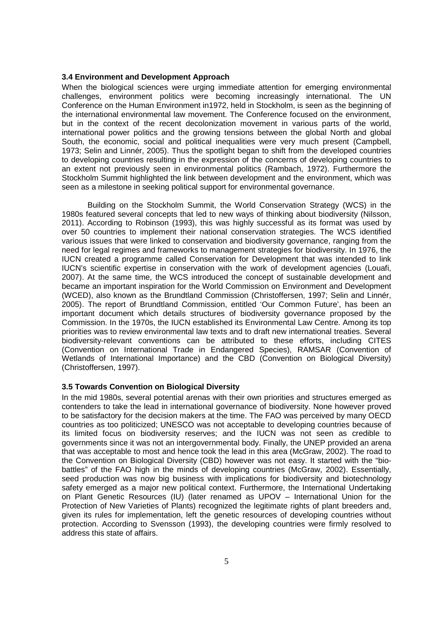### **3.4 Environment and Development Approach**

When the biological sciences were urging immediate attention for emerging environmental challenges, environment politics were becoming increasingly international. The UN Conference on the Human Environment in1972, held in Stockholm, is seen as the beginning of the international environmental law movement. The Conference focused on the environment, but in the context of the recent decolonization movement in various parts of the world, international power politics and the growing tensions between the global North and global South, the economic, social and political inequalities were very much present (Campbell, 1973; Selin and Linnér, 2005). Thus the spotlight began to shift from the developed countries to developing countries resulting in the expression of the concerns of developing countries to an extent not previously seen in environmental politics (Rambach, 1972). Furthermore the Stockholm Summit highlighted the link between development and the environment, which was seen as a milestone in seeking political support for environmental governance.

Building on the Stockholm Summit, the World Conservation Strategy (WCS) in the 1980s featured several concepts that led to new ways of thinking about biodiversity (Nilsson, 2011). According to Robinson (1993), this was highly successful as its format was used by over 50 countries to implement their national conservation strategies. The WCS identified various issues that were linked to conservation and biodiversity governance, ranging from the need for legal regimes and frameworks to management strategies for biodiversity. In 1976, the IUCN created a programme called Conservation for Development that was intended to link IUCN's scientific expertise in conservation with the work of development agencies (Louafi, 2007). At the same time, the WCS introduced the concept of sustainable development and became an important inspiration for the World Commission on Environment and Development (WCED), also known as the Brundtland Commission (Christoffersen, 1997; Selin and Linnér, 2005). The report of Brundtland Commission, entitled 'Our Common Future', has been an important document which details structures of biodiversity governance proposed by the Commission. In the 1970s, the IUCN established its Environmental Law Centre. Among its top priorities was to review environmental law texts and to draft new international treaties. Several biodiversity-relevant conventions can be attributed to these efforts, including CITES (Convention on International Trade in Endangered Species), RAMSAR (Convention of Wetlands of International Importance) and the CBD (Convention on Biological Diversity) (Christoffersen, 1997).

#### **3.5 Towards Convention on Biological Diversity**

In the mid 1980s, several potential arenas with their own priorities and structures emerged as contenders to take the lead in international governance of biodiversity. None however proved to be satisfactory for the decision makers at the time. The FAO was perceived by many OECD countries as too politicized; UNESCO was not acceptable to developing countries because of its limited focus on biodiversity reserves; and the IUCN was not seen as credible to governments since it was not an intergovernmental body. Finally, the UNEP provided an arena that was acceptable to most and hence took the lead in this area (McGraw, 2002). The road to the Convention on Biological Diversity (CBD) however was not easy. It started with the "biobattles" of the FAO high in the minds of developing countries (McGraw, 2002). Essentially, seed production was now big business with implications for biodiversity and biotechnology safety emerged as a major new political context. Furthermore, the International Undertaking on Plant Genetic Resources (IU) (later renamed as UPOV – International Union for the Protection of New Varieties of Plants) recognized the legitimate rights of plant breeders and, given its rules for implementation, left the genetic resources of developing countries without protection. According to Svensson (1993), the developing countries were firmly resolved to address this state of affairs.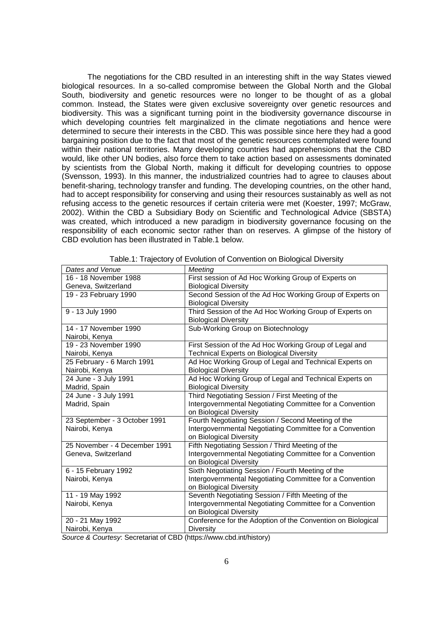The negotiations for the CBD resulted in an interesting shift in the way States viewed biological resources. In a so-called compromise between the Global North and the Global South, biodiversity and genetic resources were no longer to be thought of as a global common. Instead, the States were given exclusive sovereignty over genetic resources and biodiversity. This was a significant turning point in the biodiversity governance discourse in which developing countries felt marginalized in the climate negotiations and hence were determined to secure their interests in the CBD. This was possible since here they had a good bargaining position due to the fact that most of the genetic resources contemplated were found within their national territories. Many developing countries had apprehensions that the CBD would, like other UN bodies, also force them to take action based on assessments dominated by scientists from the Global North, making it difficult for developing countries to oppose (Svensson, 1993). In this manner, the industrialized countries had to agree to clauses about benefit-sharing, technology transfer and funding. The developing countries, on the other hand, had to accept responsibility for conserving and using their resources sustainably as well as not refusing access to the genetic resources if certain criteria were met (Koester, 1997; McGraw, 2002). Within the CBD a Subsidiary Body on Scientific and Technological Advice (SBSTA) was created, which introduced a new paradigm in biodiversity governance focusing on the responsibility of each economic sector rather than on reserves. A glimpse of the history of CBD evolution has been illustrated in Table.1 below.

| Meeting<br>First session of Ad Hoc Working Group of Experts on<br>16 - 18 November 1988<br>Geneva, Switzerland<br><b>Biological Diversity</b><br>Second Session of the Ad Hoc Working Group of Experts on<br>19 - 23 February 1990<br><b>Biological Diversity</b><br>Third Session of the Ad Hoc Working Group of Experts on<br>9 - 13 July 1990<br><b>Biological Diversity</b><br>14 - 17 November 1990<br>Sub-Working Group on Biotechnology<br>Nairobi, Kenya<br>19 - 23 November 1990<br>First Session of the Ad Hoc Working Group of Legal and<br><b>Technical Experts on Biological Diversity</b><br>Nairobi, Kenya<br>25 February - 6 March 1991<br>Ad Hoc Working Group of Legal and Technical Experts on<br>Nairobi, Kenya<br><b>Biological Diversity</b><br>24 June - 3 July 1991<br>Ad Hoc Working Group of Legal and Technical Experts on<br>Madrid, Spain<br><b>Biological Diversity</b><br>Third Negotiating Session / First Meeting of the<br>24 June - 3 July 1991<br>Intergovernmental Negotiating Committee for a Convention<br>Madrid, Spain<br>on Biological Diversity<br>Fourth Negotiating Session / Second Meeting of the<br>23 September - 3 October 1991<br>Intergovernmental Negotiating Committee for a Convention<br>Nairobi, Kenya<br>on Biological Diversity<br>25 November - 4 December 1991<br>Fifth Negotiating Session / Third Meeting of the<br>Intergovernmental Negotiating Committee for a Convention<br>Geneva, Switzerland<br>on Biological Diversity<br>Sixth Negotiating Session / Fourth Meeting of the<br>6 - 15 February 1992<br>Intergovernmental Negotiating Committee for a Convention<br>Nairobi, Kenya<br>on Biological Diversity<br>11 - 19 May 1992<br>Seventh Negotiating Session / Fifth Meeting of the<br>Intergovernmental Negotiating Committee for a Convention<br>Nairobi, Kenya<br>on Biological Diversity<br>Conference for the Adoption of the Convention on Biological<br>20 - 21 May 1992<br>Nairobi, Kenya<br><b>Diversity</b> |                 |                         |
|-------------------------------------------------------------------------------------------------------------------------------------------------------------------------------------------------------------------------------------------------------------------------------------------------------------------------------------------------------------------------------------------------------------------------------------------------------------------------------------------------------------------------------------------------------------------------------------------------------------------------------------------------------------------------------------------------------------------------------------------------------------------------------------------------------------------------------------------------------------------------------------------------------------------------------------------------------------------------------------------------------------------------------------------------------------------------------------------------------------------------------------------------------------------------------------------------------------------------------------------------------------------------------------------------------------------------------------------------------------------------------------------------------------------------------------------------------------------------------------------------------------------------------------------------------------------------------------------------------------------------------------------------------------------------------------------------------------------------------------------------------------------------------------------------------------------------------------------------------------------------------------------------------------------------------------------------------------------------------------------------|-----------------|-------------------------|
|                                                                                                                                                                                                                                                                                                                                                                                                                                                                                                                                                                                                                                                                                                                                                                                                                                                                                                                                                                                                                                                                                                                                                                                                                                                                                                                                                                                                                                                                                                                                                                                                                                                                                                                                                                                                                                                                                                                                                                                                 | Dates and Venue |                         |
|                                                                                                                                                                                                                                                                                                                                                                                                                                                                                                                                                                                                                                                                                                                                                                                                                                                                                                                                                                                                                                                                                                                                                                                                                                                                                                                                                                                                                                                                                                                                                                                                                                                                                                                                                                                                                                                                                                                                                                                                 |                 |                         |
|                                                                                                                                                                                                                                                                                                                                                                                                                                                                                                                                                                                                                                                                                                                                                                                                                                                                                                                                                                                                                                                                                                                                                                                                                                                                                                                                                                                                                                                                                                                                                                                                                                                                                                                                                                                                                                                                                                                                                                                                 |                 |                         |
|                                                                                                                                                                                                                                                                                                                                                                                                                                                                                                                                                                                                                                                                                                                                                                                                                                                                                                                                                                                                                                                                                                                                                                                                                                                                                                                                                                                                                                                                                                                                                                                                                                                                                                                                                                                                                                                                                                                                                                                                 |                 |                         |
|                                                                                                                                                                                                                                                                                                                                                                                                                                                                                                                                                                                                                                                                                                                                                                                                                                                                                                                                                                                                                                                                                                                                                                                                                                                                                                                                                                                                                                                                                                                                                                                                                                                                                                                                                                                                                                                                                                                                                                                                 |                 |                         |
|                                                                                                                                                                                                                                                                                                                                                                                                                                                                                                                                                                                                                                                                                                                                                                                                                                                                                                                                                                                                                                                                                                                                                                                                                                                                                                                                                                                                                                                                                                                                                                                                                                                                                                                                                                                                                                                                                                                                                                                                 |                 |                         |
|                                                                                                                                                                                                                                                                                                                                                                                                                                                                                                                                                                                                                                                                                                                                                                                                                                                                                                                                                                                                                                                                                                                                                                                                                                                                                                                                                                                                                                                                                                                                                                                                                                                                                                                                                                                                                                                                                                                                                                                                 |                 |                         |
|                                                                                                                                                                                                                                                                                                                                                                                                                                                                                                                                                                                                                                                                                                                                                                                                                                                                                                                                                                                                                                                                                                                                                                                                                                                                                                                                                                                                                                                                                                                                                                                                                                                                                                                                                                                                                                                                                                                                                                                                 |                 |                         |
|                                                                                                                                                                                                                                                                                                                                                                                                                                                                                                                                                                                                                                                                                                                                                                                                                                                                                                                                                                                                                                                                                                                                                                                                                                                                                                                                                                                                                                                                                                                                                                                                                                                                                                                                                                                                                                                                                                                                                                                                 |                 |                         |
|                                                                                                                                                                                                                                                                                                                                                                                                                                                                                                                                                                                                                                                                                                                                                                                                                                                                                                                                                                                                                                                                                                                                                                                                                                                                                                                                                                                                                                                                                                                                                                                                                                                                                                                                                                                                                                                                                                                                                                                                 |                 |                         |
|                                                                                                                                                                                                                                                                                                                                                                                                                                                                                                                                                                                                                                                                                                                                                                                                                                                                                                                                                                                                                                                                                                                                                                                                                                                                                                                                                                                                                                                                                                                                                                                                                                                                                                                                                                                                                                                                                                                                                                                                 |                 |                         |
|                                                                                                                                                                                                                                                                                                                                                                                                                                                                                                                                                                                                                                                                                                                                                                                                                                                                                                                                                                                                                                                                                                                                                                                                                                                                                                                                                                                                                                                                                                                                                                                                                                                                                                                                                                                                                                                                                                                                                                                                 |                 |                         |
|                                                                                                                                                                                                                                                                                                                                                                                                                                                                                                                                                                                                                                                                                                                                                                                                                                                                                                                                                                                                                                                                                                                                                                                                                                                                                                                                                                                                                                                                                                                                                                                                                                                                                                                                                                                                                                                                                                                                                                                                 |                 |                         |
|                                                                                                                                                                                                                                                                                                                                                                                                                                                                                                                                                                                                                                                                                                                                                                                                                                                                                                                                                                                                                                                                                                                                                                                                                                                                                                                                                                                                                                                                                                                                                                                                                                                                                                                                                                                                                                                                                                                                                                                                 |                 |                         |
|                                                                                                                                                                                                                                                                                                                                                                                                                                                                                                                                                                                                                                                                                                                                                                                                                                                                                                                                                                                                                                                                                                                                                                                                                                                                                                                                                                                                                                                                                                                                                                                                                                                                                                                                                                                                                                                                                                                                                                                                 |                 |                         |
|                                                                                                                                                                                                                                                                                                                                                                                                                                                                                                                                                                                                                                                                                                                                                                                                                                                                                                                                                                                                                                                                                                                                                                                                                                                                                                                                                                                                                                                                                                                                                                                                                                                                                                                                                                                                                                                                                                                                                                                                 |                 |                         |
|                                                                                                                                                                                                                                                                                                                                                                                                                                                                                                                                                                                                                                                                                                                                                                                                                                                                                                                                                                                                                                                                                                                                                                                                                                                                                                                                                                                                                                                                                                                                                                                                                                                                                                                                                                                                                                                                                                                                                                                                 |                 |                         |
|                                                                                                                                                                                                                                                                                                                                                                                                                                                                                                                                                                                                                                                                                                                                                                                                                                                                                                                                                                                                                                                                                                                                                                                                                                                                                                                                                                                                                                                                                                                                                                                                                                                                                                                                                                                                                                                                                                                                                                                                 |                 |                         |
|                                                                                                                                                                                                                                                                                                                                                                                                                                                                                                                                                                                                                                                                                                                                                                                                                                                                                                                                                                                                                                                                                                                                                                                                                                                                                                                                                                                                                                                                                                                                                                                                                                                                                                                                                                                                                                                                                                                                                                                                 |                 |                         |
|                                                                                                                                                                                                                                                                                                                                                                                                                                                                                                                                                                                                                                                                                                                                                                                                                                                                                                                                                                                                                                                                                                                                                                                                                                                                                                                                                                                                                                                                                                                                                                                                                                                                                                                                                                                                                                                                                                                                                                                                 |                 |                         |
|                                                                                                                                                                                                                                                                                                                                                                                                                                                                                                                                                                                                                                                                                                                                                                                                                                                                                                                                                                                                                                                                                                                                                                                                                                                                                                                                                                                                                                                                                                                                                                                                                                                                                                                                                                                                                                                                                                                                                                                                 |                 |                         |
|                                                                                                                                                                                                                                                                                                                                                                                                                                                                                                                                                                                                                                                                                                                                                                                                                                                                                                                                                                                                                                                                                                                                                                                                                                                                                                                                                                                                                                                                                                                                                                                                                                                                                                                                                                                                                                                                                                                                                                                                 |                 |                         |
|                                                                                                                                                                                                                                                                                                                                                                                                                                                                                                                                                                                                                                                                                                                                                                                                                                                                                                                                                                                                                                                                                                                                                                                                                                                                                                                                                                                                                                                                                                                                                                                                                                                                                                                                                                                                                                                                                                                                                                                                 |                 |                         |
|                                                                                                                                                                                                                                                                                                                                                                                                                                                                                                                                                                                                                                                                                                                                                                                                                                                                                                                                                                                                                                                                                                                                                                                                                                                                                                                                                                                                                                                                                                                                                                                                                                                                                                                                                                                                                                                                                                                                                                                                 |                 |                         |
|                                                                                                                                                                                                                                                                                                                                                                                                                                                                                                                                                                                                                                                                                                                                                                                                                                                                                                                                                                                                                                                                                                                                                                                                                                                                                                                                                                                                                                                                                                                                                                                                                                                                                                                                                                                                                                                                                                                                                                                                 |                 |                         |
|                                                                                                                                                                                                                                                                                                                                                                                                                                                                                                                                                                                                                                                                                                                                                                                                                                                                                                                                                                                                                                                                                                                                                                                                                                                                                                                                                                                                                                                                                                                                                                                                                                                                                                                                                                                                                                                                                                                                                                                                 |                 |                         |
|                                                                                                                                                                                                                                                                                                                                                                                                                                                                                                                                                                                                                                                                                                                                                                                                                                                                                                                                                                                                                                                                                                                                                                                                                                                                                                                                                                                                                                                                                                                                                                                                                                                                                                                                                                                                                                                                                                                                                                                                 |                 |                         |
|                                                                                                                                                                                                                                                                                                                                                                                                                                                                                                                                                                                                                                                                                                                                                                                                                                                                                                                                                                                                                                                                                                                                                                                                                                                                                                                                                                                                                                                                                                                                                                                                                                                                                                                                                                                                                                                                                                                                                                                                 |                 |                         |
|                                                                                                                                                                                                                                                                                                                                                                                                                                                                                                                                                                                                                                                                                                                                                                                                                                                                                                                                                                                                                                                                                                                                                                                                                                                                                                                                                                                                                                                                                                                                                                                                                                                                                                                                                                                                                                                                                                                                                                                                 |                 |                         |
|                                                                                                                                                                                                                                                                                                                                                                                                                                                                                                                                                                                                                                                                                                                                                                                                                                                                                                                                                                                                                                                                                                                                                                                                                                                                                                                                                                                                                                                                                                                                                                                                                                                                                                                                                                                                                                                                                                                                                                                                 |                 |                         |
|                                                                                                                                                                                                                                                                                                                                                                                                                                                                                                                                                                                                                                                                                                                                                                                                                                                                                                                                                                                                                                                                                                                                                                                                                                                                                                                                                                                                                                                                                                                                                                                                                                                                                                                                                                                                                                                                                                                                                                                                 |                 |                         |
|                                                                                                                                                                                                                                                                                                                                                                                                                                                                                                                                                                                                                                                                                                                                                                                                                                                                                                                                                                                                                                                                                                                                                                                                                                                                                                                                                                                                                                                                                                                                                                                                                                                                                                                                                                                                                                                                                                                                                                                                 |                 | $1 + 1 + 1 + 1 + 1 = 1$ |

| Table.1: Trajectory of Evolution of Convention on Biological Diversity |
|------------------------------------------------------------------------|
|------------------------------------------------------------------------|

Source & Courtesy: Secretariat of CBD (https://www.cbd.int/history)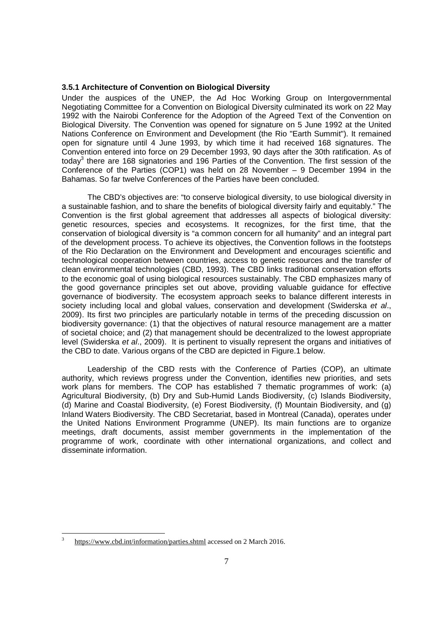### **3.5.1 Architecture of Convention on Biological Diversity**

Under the auspices of the UNEP, the Ad Hoc Working Group on Intergovernmental Negotiating Committee for a Convention on Biological Diversity culminated its work on 22 May 1992 with the Nairobi Conference for the Adoption of the Agreed Text of the Convention on Biological Diversity. The Convention was opened for signature on 5 June 1992 at the United Nations Conference on Environment and Development (the Rio "Earth Summit"). It remained open for signature until 4 June 1993, by which time it had received 168 signatures. The Convention entered into force on 29 December 1993, 90 days after the 30th ratification. As of today<sup>3</sup> there are 168 signatories and 196 Parties of the Convention. The first session of the Conference of the Parties (COP1) was held on 28 November – 9 December 1994 in the Bahamas. So far twelve Conferences of the Parties have been concluded.

 The CBD's objectives are: "to conserve biological diversity, to use biological diversity in a sustainable fashion, and to share the benefits of biological diversity fairly and equitably." The Convention is the first global agreement that addresses all aspects of biological diversity: genetic resources, species and ecosystems. It recognizes, for the first time, that the conservation of biological diversity is "a common concern for all humanity" and an integral part of the development process. To achieve its objectives, the Convention follows in the footsteps of the Rio Declaration on the Environment and Development and encourages scientific and technological cooperation between countries, access to genetic resources and the transfer of clean environmental technologies (CBD, 1993). The CBD links traditional conservation efforts to the economic goal of using biological resources sustainably. The CBD emphasizes many of the good governance principles set out above, providing valuable guidance for effective governance of biodiversity. The ecosystem approach seeks to balance different interests in society including local and global values, conservation and development (Swiderska et al., 2009). Its first two principles are particularly notable in terms of the preceding discussion on biodiversity governance: (1) that the objectives of natural resource management are a matter of societal choice; and (2) that management should be decentralized to the lowest appropriate level (Swiderska et al., 2009). It is pertinent to visually represent the organs and initiatives of the CBD to date. Various organs of the CBD are depicted in Figure.1 below.

 Leadership of the CBD rests with the Conference of Parties (COP), an ultimate authority, which reviews progress under the Convention, identifies new priorities, and sets work plans for members. The COP has established 7 thematic programmes of work: (a) Agricultural Biodiversity, (b) Dry and Sub-Humid Lands Biodiversity, (c) Islands Biodiversity, (d) Marine and Coastal Biodiversity, (e) Forest Biodiversity, (f) Mountain Biodiversity, and (g) Inland Waters Biodiversity. The CBD Secretariat, based in Montreal (Canada), operates under the United Nations Environment Programme (UNEP). Its main functions are to organize meetings, draft documents, assist member governments in the implementation of the programme of work, coordinate with other international organizations, and collect and disseminate information.

l 3 https://www.cbd.int/information/parties.shtml accessed on 2 March 2016.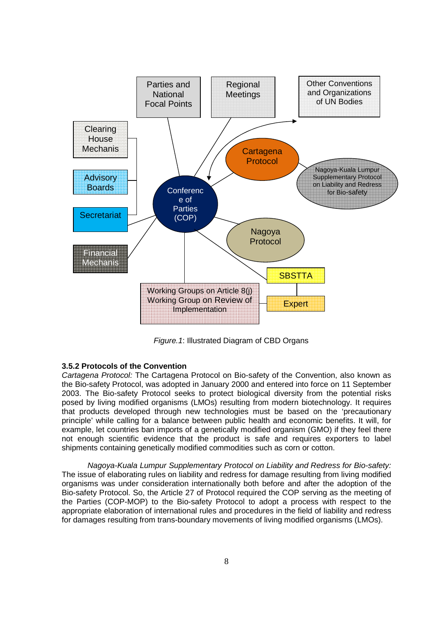

Figure.1: Illustrated Diagram of CBD Organs

# **3.5.2 Protocols of the Convention**

Cartagena Protocol: The Cartagena Protocol on Bio-safety of the Convention, also known as the Bio-safety Protocol, was adopted in January 2000 and entered into force on 11 September 2003. The Bio-safety Protocol seeks to protect biological diversity from the potential risks posed by living modified organisms (LMOs) resulting from modern biotechnology. It requires that products developed through new technologies must be based on the 'precautionary principle' while calling for a balance between public health and economic benefits. It will, for example, let countries ban imports of a genetically modified organism (GMO) if they feel there not enough scientific evidence that the product is safe and requires exporters to label shipments containing genetically modified commodities such as corn or cotton.

 Nagoya-Kuala Lumpur Supplementary Protocol on Liability and Redress for Bio-safety: The issue of elaborating rules on liability and redress for damage resulting from living modified organisms was under consideration internationally both before and after the adoption of the Bio-safety Protocol. So, the Article 27 of Protocol required the COP serving as the meeting of the Parties (COP-MOP) to the Bio-safety Protocol to adopt a process with respect to the appropriate elaboration of international rules and procedures in the field of liability and redress for damages resulting from trans-boundary movements of living modified organisms (LMOs).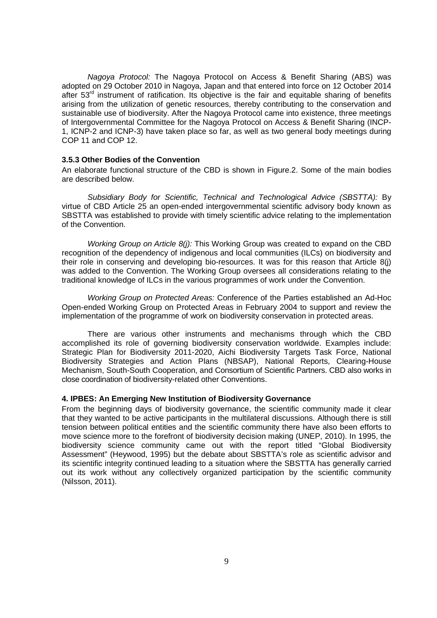Nagoya Protocol: The Nagoya Protocol on Access & Benefit Sharing (ABS) was adopted on 29 October 2010 in Nagoya, Japan and that entered into force on 12 October 2014 after 53<sup>rd</sup> instrument of ratification. Its objective is the fair and equitable sharing of benefits arising from the utilization of genetic resources, thereby contributing to the conservation and sustainable use of biodiversity. After the Nagoya Protocol came into existence, three meetings of Intergovernmental Committee for the Nagoya Protocol on Access & Benefit Sharing (INCP-1, ICNP-2 and ICNP-3) have taken place so far, as well as two general body meetings during COP 11 and COP 12.

# **3.5.3 Other Bodies of the Convention**

An elaborate functional structure of the CBD is shown in Figure.2. Some of the main bodies are described below.

 Subsidiary Body for Scientific, Technical and Technological Advice (SBSTTA): By virtue of CBD Article 25 an open-ended intergovernmental scientific advisory body known as SBSTTA was established to provide with timely scientific advice relating to the implementation of the Convention.

Working Group on Article  $8(j)$ : This Working Group was created to expand on the CBD recognition of the dependency of indigenous and local communities (ILCs) on biodiversity and their role in conserving and developing bio-resources. It was for this reason that Article 8(j) was added to the Convention. The Working Group oversees all considerations relating to the traditional knowledge of ILCs in the various programmes of work under the Convention.

 Working Group on Protected Areas: Conference of the Parties established an Ad-Hoc Open-ended Working Group on Protected Areas in February 2004 to support and review the implementation of the programme of work on biodiversity conservation in protected areas.

 There are various other instruments and mechanisms through which the CBD accomplished its role of governing biodiversity conservation worldwide. Examples include: Strategic Plan for Biodiversity 2011-2020, Aichi Biodiversity Targets Task Force, National Biodiversity Strategies and Action Plans (NBSAP), National Reports, Clearing-House Mechanism, South-South Cooperation, and Consortium of Scientific Partners. CBD also works in close coordination of biodiversity-related other Conventions.

### **4. IPBES: An Emerging New Institution of Biodiversity Governance**

From the beginning days of biodiversity governance, the scientific community made it clear that they wanted to be active participants in the multilateral discussions. Although there is still tension between political entities and the scientific community there have also been efforts to move science more to the forefront of biodiversity decision making (UNEP, 2010). In 1995, the biodiversity science community came out with the report titled "Global Biodiversity Assessment" (Heywood, 1995) but the debate about SBSTTA's role as scientific advisor and its scientific integrity continued leading to a situation where the SBSTTA has generally carried out its work without any collectively organized participation by the scientific community (Nilsson, 2011).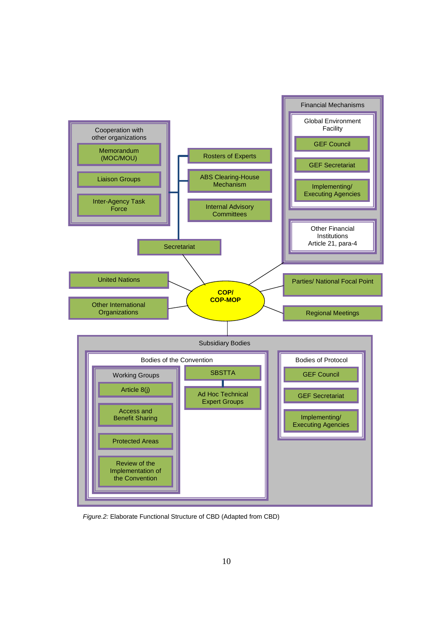

Figure.2: Elaborate Functional Structure of CBD (Adapted from CBD)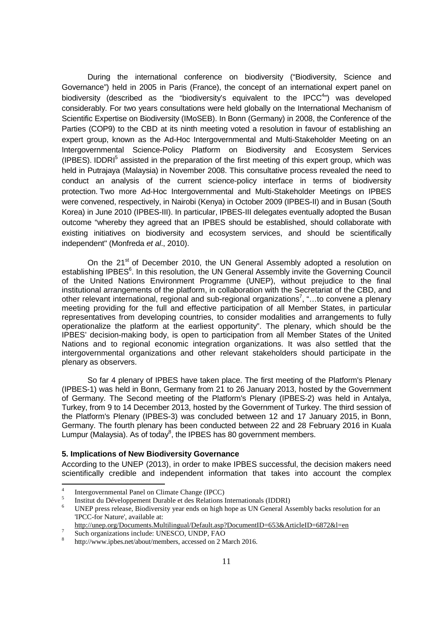During the international conference on biodiversity ("Biodiversity, Science and Governance") held in 2005 in Paris (France), the concept of an international expert panel on biodiversity (described as the "biodiversity's equivalent to the IPCC $4$ ") was developed considerably. For two years consultations were held globally on the International Mechanism of Scientific Expertise on Biodiversity (IMoSEB). In Bonn (Germany) in 2008, the Conference of the Parties (COP9) to the CBD at its ninth meeting voted a resolution in favour of establishing an expert group, known as the Ad-Hoc Intergovernmental and Multi-Stakeholder Meeting on an Intergovernmental Science-Policy Platform on Biodiversity and Ecosystem Services (IPBES). IDDRI<sup>5</sup> assisted in the preparation of the first meeting of this expert group, which was held in Putrajaya (Malaysia) in November 2008. This consultative process revealed the need to conduct an analysis of the current science-policy interface in terms of biodiversity protection. Two more Ad-Hoc Intergovernmental and Multi-Stakeholder Meetings on IPBES were convened, respectively, in Nairobi (Kenya) in October 2009 (IPBES-II) and in Busan (South Korea) in June 2010 (IPBES-III). In particular, IPBES-III delegates eventually adopted the Busan outcome "whereby they agreed that an IPBES should be established, should collaborate with existing initiatives on biodiversity and ecosystem services, and should be scientifically independent" (Monfreda et al., 2010).

On the 21<sup>st</sup> of December 2010, the UN General Assembly adopted a resolution on establishing IPBES<sup>6</sup>. In this resolution, the UN General Assembly invite the Governing Council of the United Nations Environment Programme (UNEP), without prejudice to the final institutional arrangements of the platform, in collaboration with the Secretariat of the CBD, and other relevant international, regional and sub-regional organizations<sup>7</sup>, "...to convene a plenary meeting providing for the full and effective participation of all Member States, in particular representatives from developing countries, to consider modalities and arrangements to fully operationalize the platform at the earliest opportunity". The plenary, which should be the IPBES' decision-making body, is open to participation from all Member States of the United Nations and to regional economic integration organizations. It was also settled that the intergovernmental organizations and other relevant stakeholders should participate in the plenary as observers.

 So far 4 plenary of IPBES have taken place. The first meeting of the Platform's Plenary (IPBES-1) was held in Bonn, Germany from 21 to 26 January 2013, hosted by the Government of Germany. The Second meeting of the Platform's Plenary (IPBES-2) was held in Antalya, Turkey, from 9 to 14 December 2013, hosted by the Government of Turkey. The third session of the Platform's Plenary (IPBES-3) was concluded between 12 and 17 January 2015, in Bonn, Germany. The fourth plenary has been conducted between 22 and 28 February 2016 in Kuala Lumpur (Malaysia). As of today $8$ , the IPBES has 80 government members.

# **5. Implications of New Biodiversity Governance**

According to the UNEP (2013), in order to make IPBES successful, the decision makers need scientifically credible and independent information that takes into account the complex

 $\frac{1}{4}$ Intergovernmental Panel on Climate Change (IPCC)

<sup>5</sup> Institut du Développement Durable et des Relations Internationals (IDDRI)

<sup>6</sup> UNEP press release, Biodiversity year ends on high hope as UN General Assembly backs resolution for an 'IPCC-for Nature', available at:

http://unep.org/Documents.Multilingual/Default.asp?DocumentID=653&ArticleID=6872&l=en  $\overline{7}$ 

Such organizations include: UNESCO, UNDP, FAO

<sup>8</sup> http://www.ipbes.net/about/members, accessed on 2 March 2016.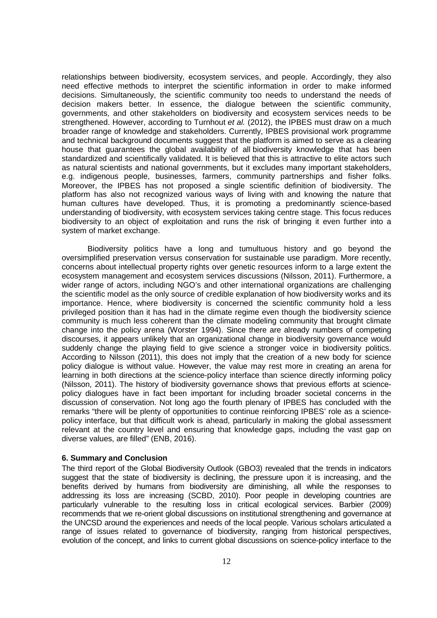relationships between biodiversity, ecosystem services, and people. Accordingly, they also need effective methods to interpret the scientific information in order to make informed decisions. Simultaneously, the scientific community too needs to understand the needs of decision makers better. In essence, the dialogue between the scientific community, governments, and other stakeholders on biodiversity and ecosystem services needs to be strengthened. However, according to Turnhout et al. (2012), the IPBES must draw on a much broader range of knowledge and stakeholders. Currently, IPBES provisional work programme and technical background documents suggest that the platform is aimed to serve as a clearing house that guarantees the global availability of all biodiversity knowledge that has been standardized and scientifically validated. It is believed that this is attractive to elite actors such as natural scientists and national governments, but it excludes many important stakeholders, e.g. indigenous people, businesses, farmers, community partnerships and fisher folks. Moreover, the IPBES has not proposed a single scientific definition of biodiversity. The platform has also not recognized various ways of living with and knowing the nature that human cultures have developed. Thus, it is promoting a predominantly science-based understanding of biodiversity, with ecosystem services taking centre stage. This focus reduces biodiversity to an object of exploitation and runs the risk of bringing it even further into a system of market exchange.

Biodiversity politics have a long and tumultuous history and go beyond the oversimplified preservation versus conservation for sustainable use paradigm. More recently, concerns about intellectual property rights over genetic resources inform to a large extent the ecosystem management and ecosystem services discussions (Nilsson, 2011). Furthermore, a wider range of actors, including NGO's and other international organizations are challenging the scientific model as the only source of credible explanation of how biodiversity works and its importance. Hence, where biodiversity is concerned the scientific community hold a less privileged position than it has had in the climate regime even though the biodiversity science community is much less coherent than the climate modeling community that brought climate change into the policy arena (Worster 1994). Since there are already numbers of competing discourses, it appears unlikely that an organizational change in biodiversity governance would suddenly change the playing field to give science a stronger voice in biodiversity politics. According to Nilsson (2011), this does not imply that the creation of a new body for science policy dialogue is without value. However, the value may rest more in creating an arena for learning in both directions at the science-policy interface than science directly informing policy (Nilsson, 2011). The history of biodiversity governance shows that previous efforts at sciencepolicy dialogues have in fact been important for including broader societal concerns in the discussion of conservation. Not long ago the fourth plenary of IPBES has concluded with the remarks "there will be plenty of opportunities to continue reinforcing IPBES' role as a sciencepolicy interface, but that difficult work is ahead, particularly in making the global assessment relevant at the country level and ensuring that knowledge gaps, including the vast gap on diverse values, are filled" (ENB, 2016).

#### **6. Summary and Conclusion**

The third report of the Global Biodiversity Outlook (GBO3) revealed that the trends in indicators suggest that the state of biodiversity is declining, the pressure upon it is increasing, and the benefits derived by humans from biodiversity are diminishing, all while the responses to addressing its loss are increasing (SCBD, 2010). Poor people in developing countries are particularly vulnerable to the resulting loss in critical ecological services. Barbier (2009) recommends that we re-orient global discussions on institutional strengthening and governance at the UNCSD around the experiences and needs of the local people. Various scholars articulated a range of issues related to governance of biodiversity, ranging from historical perspectives, evolution of the concept, and links to current global discussions on science-policy interface to the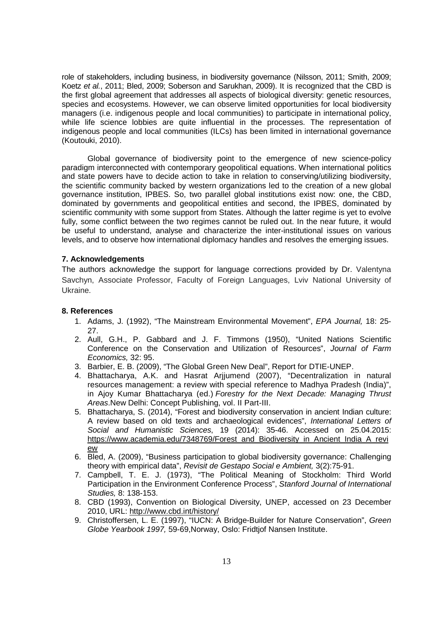role of stakeholders, including business, in biodiversity governance (Nilsson, 2011; Smith, 2009; Koetz et al., 2011; Bled, 2009; Soberson and Sarukhan, 2009). It is recognized that the CBD is the first global agreement that addresses all aspects of biological diversity: genetic resources, species and ecosystems. However, we can observe limited opportunities for local biodiversity managers (i.e. indigenous people and local communities) to participate in international policy, while life science lobbies are quite influential in the processes. The representation of indigenous people and local communities (ILCs) has been limited in international governance (Koutouki, 2010).

Global governance of biodiversity point to the emergence of new science-policy paradigm interconnected with contemporary geopolitical equations. When international politics and state powers have to decide action to take in relation to conserving/utilizing biodiversity, the scientific community backed by western organizations led to the creation of a new global governance institution, IPBES. So, two parallel global institutions exist now: one, the CBD, dominated by governments and geopolitical entities and second, the IPBES, dominated by scientific community with some support from States. Although the latter regime is yet to evolve fully, some conflict between the two regimes cannot be ruled out. In the near future, it would be useful to understand, analyse and characterize the inter-institutional issues on various levels, and to observe how international diplomacy handles and resolves the emerging issues.

# **7. Acknowledgements**

The authors acknowledge the support for language corrections provided by Dr. Valentyna Savchyn, Associate Professor, Faculty of Foreign Languages, Lviv National University of Ukraine.

# **8. References**

- 1. Adams, J. (1992), "The Mainstream Environmental Movement", EPA Journal, 18: 25- 27.
- 2. Aull, G.H., P. Gabbard and J. F. Timmons (1950), "United Nations Scientific Conference on the Conservation and Utilization of Resources", Journal of Farm Economics, 32: 95.
- 3. Barbier, E. B. (2009), "The Global Green New Deal", Report for DTIE-UNEP.
- 4. Bhattacharya, A.K. and Hasrat Arjjumend (2007), "Decentralization in natural resources management: a review with special reference to Madhya Pradesh (India)", in Ajoy Kumar Bhattacharya (ed.) Forestry for the Next Decade: Managing Thrust Areas.New Delhi: Concept Publishing, vol. II Part-III.
- 5. Bhattacharya, S. (2014), "Forest and biodiversity conservation in ancient Indian culture: A review based on old texts and archaeological evidences", International Letters of Social and Humanistic Sciences, 19 (2014): 35-46. Accessed on 25.04.2015: https://www.academia.edu/7348769/Forest\_and\_Biodiversity\_in\_Ancient\_India\_A\_revi ew
- 6. Bled, A. (2009), "Business participation to global biodiversity governance: Challenging theory with empirical data", Revisit de Gestapo Social e Ambient, 3(2):75-91.
- 7. Campbell, T. E. J. (1973), "The Political Meaning of Stockholm: Third World Participation in the Environment Conference Process", Stanford Journal of International Studies, 8: 138-153.
- 8. CBD (1993), Convention on Biological Diversity, UNEP, accessed on 23 December 2010, URL: http://www.cbd.int/history/
- 9. Christoffersen, L. E. (1997), "IUCN: A Bridge-Builder for Nature Conservation", Green Globe Yearbook 1997, 59-69,Norway, Oslo: Fridtjof Nansen Institute.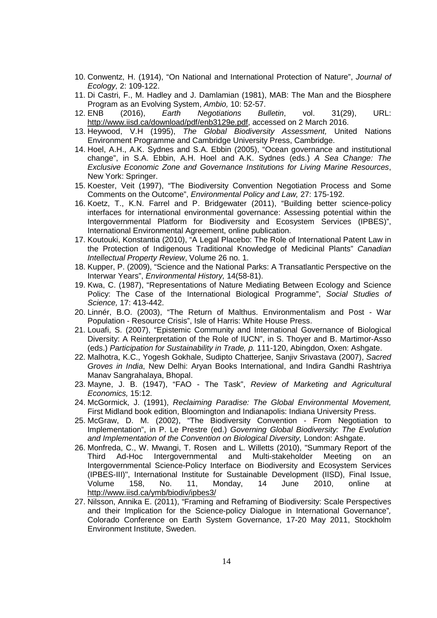- 10. Conwentz, H. (1914), "On National and International Protection of Nature", Journal of Ecology, 2: 109-122.
- 11. Di Castri, F., M. Hadley and J. Damlamian (1981), MAB: The Man and the Biosphere Program as an Evolving System, Ambio, 10: 52-57.
- 12. ENB (2016), Earth Negotiations Bulletin, vol. 31(29), URL: http://www.iisd.ca/download/pdf/enb3129e.pdf, accessed on 2 March 2016.
- 13. Heywood, V.H (1995), The Global Biodiversity Assessment, United Nations Environment Programme and Cambridge University Press, Cambridge.
- 14. Hoel, A.H., A.K. Sydnes and S.A. Ebbin (2005), "Ocean governance and institutional change", in S.A. Ebbin, A.H. Hoel and A.K. Sydnes (eds.) A Sea Change: The Exclusive Economic Zone and Governance Institutions for Living Marine Resources, New York: Springer.
- 15. Koester, Veit (1997), "The Biodiversity Convention Negotiation Process and Some Comments on the Outcome", Environmental Policy and Law, 27: 175-192.
- 16. Koetz, T., K.N. Farrel and P. Bridgewater (2011), "Building better science-policy interfaces for international environmental governance: Assessing potential within the Intergovernmental Platform for Biodiversity and Ecosystem Services (IPBES)", International Environmental Agreement, online publication.
- 17. Koutouki, Konstantia (2010), "A Legal Placebo: The Role of International Patent Law in the Protection of Indigenous Traditional Knowledge of Medicinal Plants" Canadian Intellectual Property Review, Volume 26 no. 1.
- 18. Kupper, P. (2009), "Science and the National Parks: A Transatlantic Perspective on the Interwar Years", Environmental History, 14(58-81).
- 19. Kwa, C. (1987), "Representations of Nature Mediating Between Ecology and Science Policy: The Case of the International Biological Programme", Social Studies of Science, 17: 413-442.
- 20. Linnér, B.O. (2003), "The Return of Malthus. Environmentalism and Post War Population - Resource Crisis", Isle of Harris: White House Press.
- 21. Louafi, S. (2007), "Epistemic Community and International Governance of Biological Diversity: A Reinterpretation of the Role of IUCN", in S. Thoyer and B. Martimor-Asso (eds.) Participation for Sustainability in Trade, p. 111-120, Abingdon, Oxen: Ashgate.
- 22. Malhotra, K.C., Yogesh Gokhale, Sudipto Chatterjee, Sanjiv Srivastava (2007), Sacred Groves in India, New Delhi: Aryan Books International, and Indira Gandhi Rashtriya Manav Sangrahalaya, Bhopal.
- 23. Mayne, J. B. (1947), "FAO The Task", Review of Marketing and Agricultural Economics, 15:12.
- 24. McGormick, J. (1991), Reclaiming Paradise: The Global Environmental Movement, First Midland book edition, Bloomington and Indianapolis: Indiana University Press.
- 25. McGraw, D. M. (2002), "The Biodiversity Convention From Negotiation to Implementation", in P. Le Prestre (ed.) Governing Global Biodiversity: The Evolution and Implementation of the Convention on Biological Diversity, London: Ashgate.
- 26. Monfreda, C., W. Mwangi, T. Rosen and L. Willetts (2010), "Summary Report of the Third Ad-Hoc Intergovernmental and Multi-stakeholder Meeting on an Intergovernmental Science-Policy Interface on Biodiversity and Ecosystem Services (IPBES-III)", International Institute for Sustainable Development (IISD), Final Issue, Volume 158, No. 11, Monday, 14 June 2010, online at http://www.iisd.ca/ymb/biodiv/ipbes3/
- 27. Nilsson, Annika E. (2011), "Framing and Reframing of Biodiversity: Scale Perspectives and their Implication for the Science-policy Dialogue in International Governance", Colorado Conference on Earth System Governance, 17-20 May 2011, Stockholm Environment Institute, Sweden.